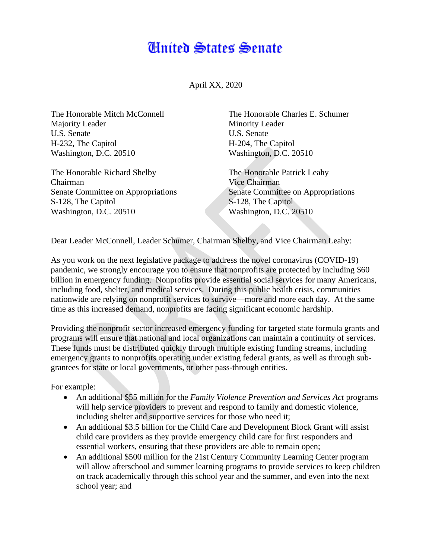## Anited States Senate

April XX, 2020

The Honorable Mitch McConnell Majority Leader U.S. Senate H-232, The Capitol Washington, D.C. 20510

The Honorable Richard Shelby Chairman Senate Committee on Appropriations S-128, The Capitol Washington, D.C. 20510

The Honorable Charles E. Schumer Minority Leader U.S. Senate H-204, The Capitol Washington, D.C. 20510

The Honorable Patrick Leahy Vice Chairman Senate Committee on Appropriations S-128, The Capitol Washington, D.C. 20510

Dear Leader McConnell, Leader Schumer, Chairman Shelby, and Vice Chairman Leahy:

As you work on the next legislative package to address the novel coronavirus (COVID-19) pandemic, we strongly encourage you to ensure that nonprofits are protected by including \$60 billion in emergency funding. Nonprofits provide essential social services for many Americans, including food, shelter, and medical services. During this public health crisis, communities nationwide are relying on nonprofit services to survive—more and more each day. At the same time as this increased demand, nonprofits are facing significant economic hardship.

Providing the nonprofit sector increased emergency funding for targeted state formula grants and programs will ensure that national and local organizations can maintain a continuity of services. These funds must be distributed quickly through multiple existing funding streams, including emergency grants to nonprofits operating under existing federal grants, as well as through subgrantees for state or local governments, or other pass-through entities.

For example:

- An additional \$55 million for the *Family Violence Prevention and Services Act* programs will help service providers to prevent and respond to family and domestic violence, including shelter and supportive services for those who need it;
- An additional \$3.5 billion for the Child Care and Development Block Grant will assist child care providers as they provide emergency child care for first responders and essential workers, ensuring that these providers are able to remain open;
- An additional \$500 million for the 21st Century Community Learning Center program will allow afterschool and summer learning programs to provide services to keep children on track academically through this school year and the summer, and even into the next school year; and